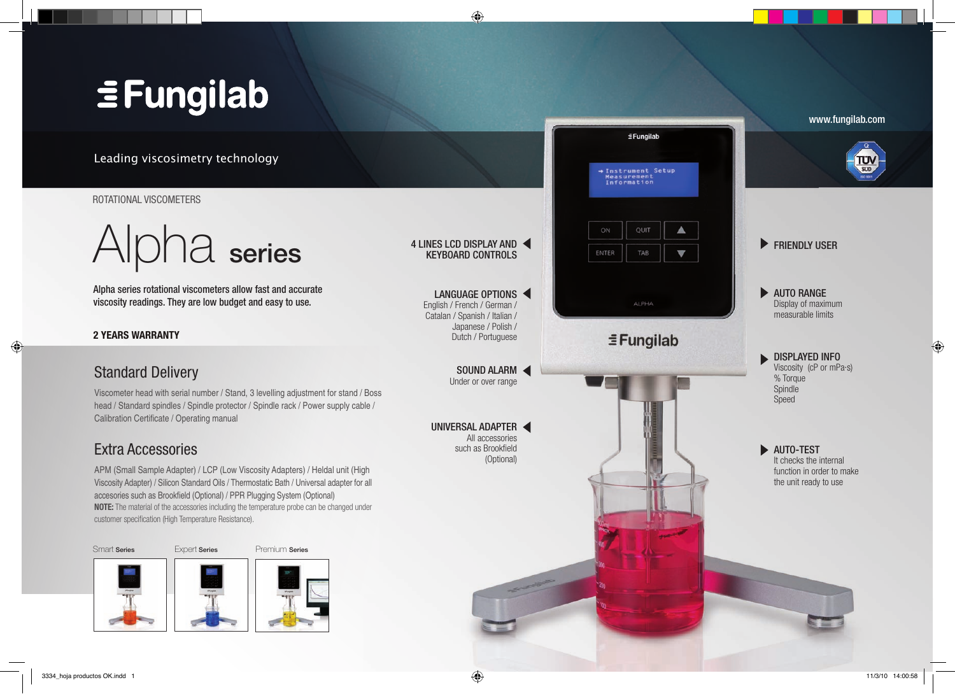# **EFungilab**